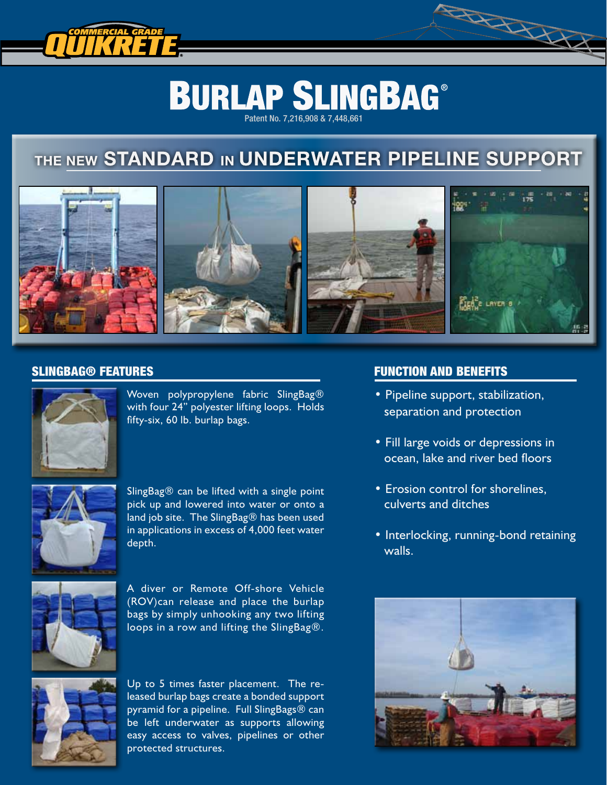

# **BURLAP SLINGBAG®**

Patent No. 7,216,908 & 7,448,661

# THE NEW STANDARD IN UNDERWATER PIPELINE SUPPORT



#### SLINGBAG® FEATURES



Woven polypropylene fabric SlingBag® with four 24" polyester lifting loops. Holds fifty-six, 60 lb. burlap bags.



SlingBag $\circledR$  can be lifted with a single point pick up and lowered into water or onto a land job site. The SlingBag® has been used in applications in excess of 4,000 feet water depth.



A diver or Remote Off-shore Vehicle (ROV)can release and place the burlap bags by simply unhooking any two lifting loops in a row and lifting the SlingBag®.



Up to 5 times faster placement. The released burlap bags create a bonded support pyramid for a pipeline. Full SlingBags® can be left underwater as supports allowing easy access to valves, pipelines or other protected structures.

## FUNCTION AND BENEFITS

• Pipeline support, stabilization, separation and protection

RANCES

- Fill large voids or depressions in ocean, lake and river bed floors
- Erosion control for shorelines, culverts and ditches
- Interlocking, running-bond retaining walls.